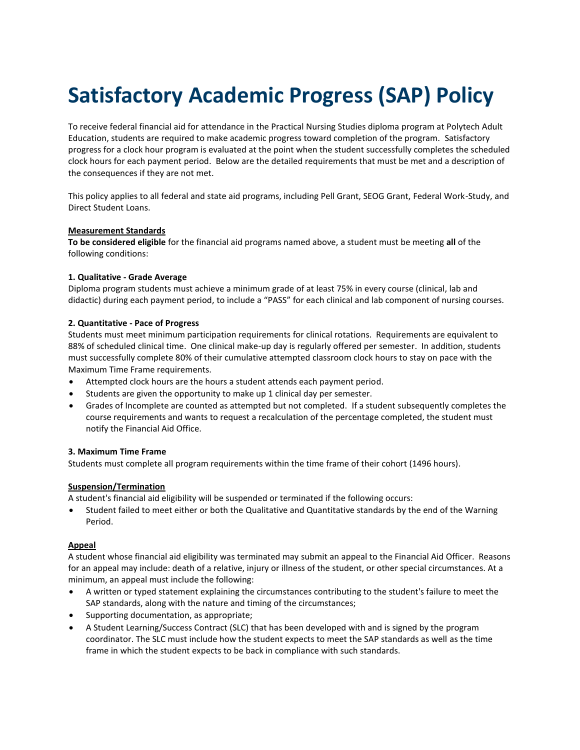# **Satisfactory Academic Progress (SAP) Policy**

To receive federal financial aid for attendance in the Practical Nursing Studies diploma program at Polytech Adult Education, students are required to make academic progress toward completion of the program. Satisfactory progress for a clock hour program is evaluated at the point when the student successfully completes the scheduled clock hours for each payment period. Below are the detailed requirements that must be met and a description of the consequences if they are not met.

This policy applies to all federal and state aid programs, including Pell Grant, SEOG Grant, Federal Work-Study, and Direct Student Loans.

## **Measurement Standards**

**To be considered eligible** for the financial aid programs named above, a student must be meeting **all** of the following conditions:

## **1. Qualitative - Grade Average**

Diploma program students must achieve a minimum grade of at least 75% in every course (clinical, lab and didactic) during each payment period, to include a "PASS" for each clinical and lab component of nursing courses.

## **2. Quantitative - Pace of Progress**

Students must meet minimum participation requirements for clinical rotations. Requirements are equivalent to 88% of scheduled clinical time. One clinical make-up day is regularly offered per semester. In addition, students must successfully complete 80% of their cumulative attempted classroom clock hours to stay on pace with the Maximum Time Frame requirements.

- Attempted clock hours are the hours a student attends each payment period.
- Students are given the opportunity to make up 1 clinical day per semester.
- Grades of Incomplete are counted as attempted but not completed. If a student subsequently completes the course requirements and wants to request a recalculation of the percentage completed, the student must notify the Financial Aid Office.

#### **3. Maximum Time Frame**

Students must complete all program requirements within the time frame of their cohort (1496 hours).

#### **Suspension/Termination**

A student's financial aid eligibility will be suspended or terminated if the following occurs:

 Student failed to meet either or both the Qualitative and Quantitative standards by the end of the Warning Period.

## **Appeal**

A student whose financial aid eligibility was terminated may submit an appeal to the Financial Aid Officer. Reasons for an appeal may include: death of a relative, injury or illness of the student, or other special circumstances. At a minimum, an appeal must include the following:

- A written or typed statement explaining the circumstances contributing to the student's failure to meet the SAP standards, along with the nature and timing of the circumstances;
- Supporting documentation, as appropriate;
- A Student Learning/Success Contract (SLC) that has been developed with and is signed by the program coordinator. The SLC must include how the student expects to meet the SAP standards as well as the time frame in which the student expects to be back in compliance with such standards.